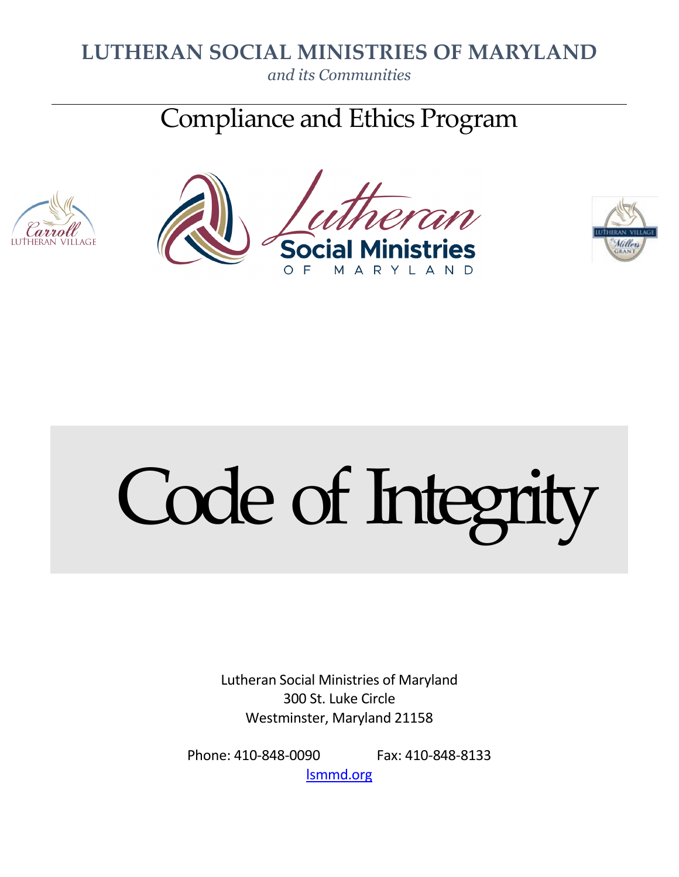# **LUTHERAN SOCIAL MINISTRIES OF MARYLAND**

*and its Communities*

Compliance and Ethics Program







# Code of Integrity

Lutheran Social Ministries of Maryland 300 St. Luke Circle Westminster, Maryland 21158

Phone: 410-848-0090 Fax: 410-848-8133 [lsmmd.org](http://www.lsmmd.org/)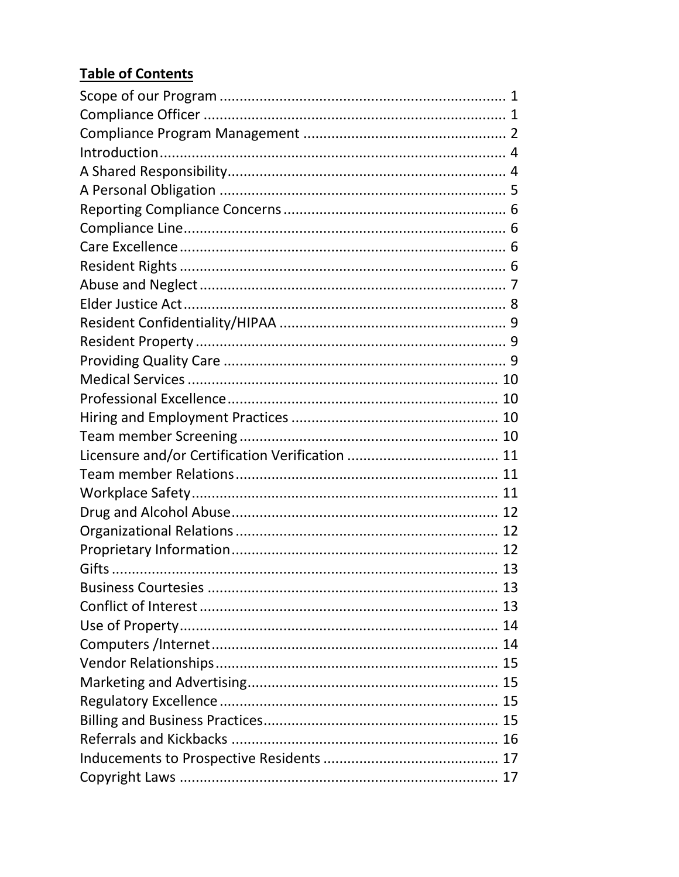# **Table of Contents**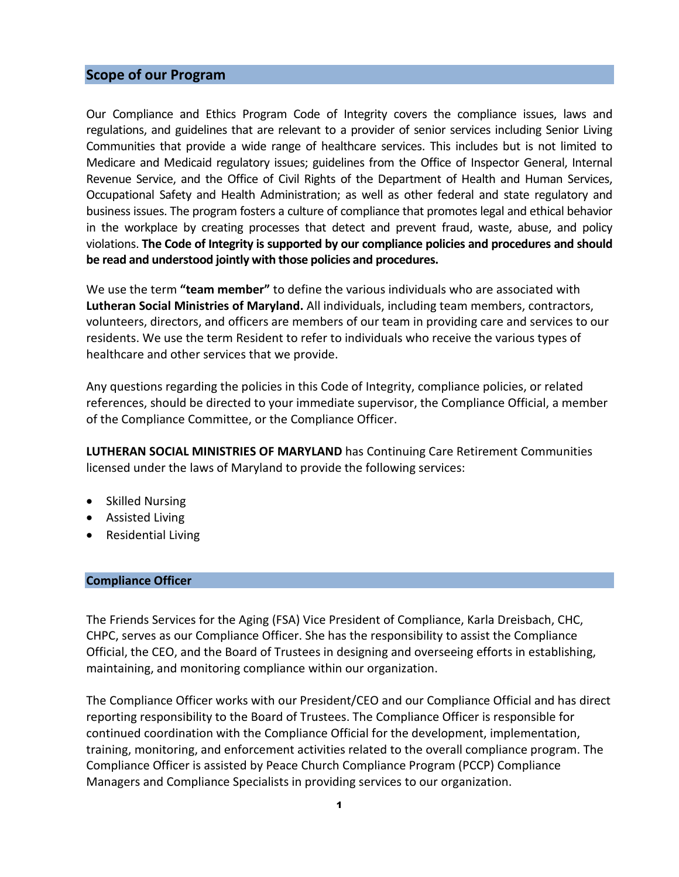### <span id="page-3-0"></span>**Scope of our Program**

Our Compliance and Ethics Program Code of Integrity covers the compliance issues, laws and regulations, and guidelines that are relevant to a provider of senior services including Senior Living Communities that provide a wide range of healthcare services. This includes but is not limited to Medicare and Medicaid regulatory issues; guidelines from the Office of Inspector General, Internal Revenue Service, and the Office of Civil Rights of the Department of Health and Human Services, Occupational Safety and Health Administration; as well as other federal and state regulatory and business issues. The program fosters a culture of compliance that promotes legal and ethical behavior in the workplace by creating processes that detect and prevent fraud, waste, abuse, and policy violations. **The Code of Integrity is supported by our compliance policies and procedures and should be read and understood jointly with those policies and procedures.**

We use the term **"team member"** to define the various individuals who are associated with **Lutheran Social Ministries of Maryland.** All individuals, including team members, contractors, volunteers, directors, and officers are members of our team in providing care and services to our residents. We use the term Resident to refer to individuals who receive the various types of healthcare and other services that we provide.

Any questions regarding the policies in this Code of Integrity, compliance policies, or related references, should be directed to your immediate supervisor, the Compliance Official, a member of the Compliance Committee, or the Compliance Officer.

**LUTHERAN SOCIAL MINISTRIES OF MARYLAND** has Continuing Care Retirement Communities licensed under the laws of Maryland to provide the following services:

- Skilled Nursing
- Assisted Living
- Residential Living

### <span id="page-3-1"></span>**Compliance Officer**

The Friends Services for the Aging (FSA) Vice President of Compliance, Karla Dreisbach, CHC, CHPC, serves as our Compliance Officer. She has the responsibility to assist the Compliance Official, the CEO, and the Board of Trustees in designing and overseeing efforts in establishing, maintaining, and monitoring compliance within our organization.

The Compliance Officer works with our President/CEO and our Compliance Official and has direct reporting responsibility to the Board of Trustees. The Compliance Officer is responsible for continued coordination with the Compliance Official for the development, implementation, training, monitoring, and enforcement activities related to the overall compliance program. The Compliance Officer is assisted by Peace Church Compliance Program (PCCP) Compliance Managers and Compliance Specialists in providing services to our organization.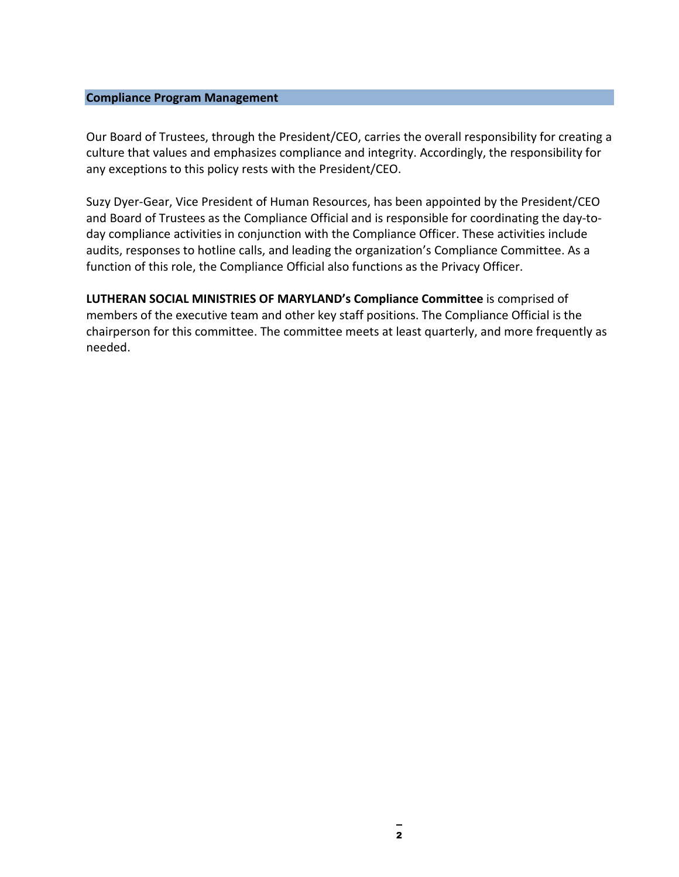### <span id="page-4-0"></span>**Compliance Program Management**

Our Board of Trustees, through the President/CEO, carries the overall responsibility for creating a culture that values and emphasizes compliance and integrity. Accordingly, the responsibility for any exceptions to this policy rests with the President/CEO.

Suzy Dyer-Gear, Vice President of Human Resources, has been appointed by the President/CEO and Board of Trustees as the Compliance Official and is responsible for coordinating the day-today compliance activities in conjunction with the Compliance Officer. These activities include audits, responses to hotline calls, and leading the organization's Compliance Committee. As a function of this role, the Compliance Official also functions as the Privacy Officer.

**LUTHERAN SOCIAL MINISTRIES OF MARYLAND's Compliance Committee** is comprised of members of the executive team and other key staff positions. The Compliance Official is the chairperson for this committee. The committee meets at least quarterly, and more frequently as needed.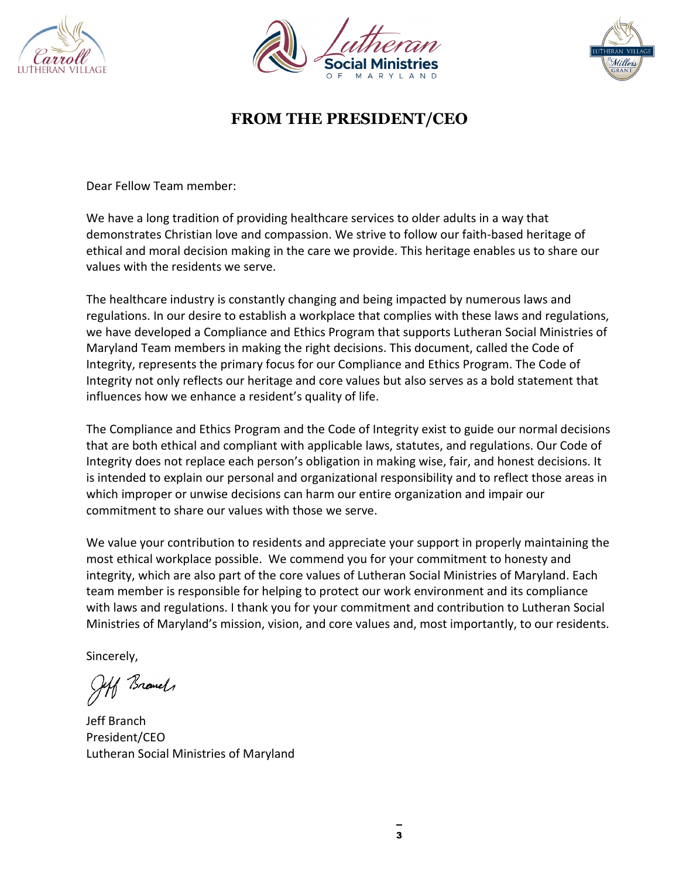





# **FROM THE PRESIDENT/CEO**

Dear Fellow Team member:

We have a long tradition of providing healthcare services to older adults in a way that demonstrates Christian love and compassion. We strive to follow our faith-based heritage of ethical and moral decision making in the care we provide. This heritage enables us to share our values with the residents we serve.

The healthcare industry is constantly changing and being impacted by numerous laws and regulations. In our desire to establish a workplace that complies with these laws and regulations, we have developed a Compliance and Ethics Program that supports Lutheran Social Ministries of Maryland Team members in making the right decisions. This document, called the Code of Integrity, represents the primary focus for our Compliance and Ethics Program. The Code of Integrity not only reflects our heritage and core values but also serves as a bold statement that influences how we enhance a resident's quality of life.

The Compliance and Ethics Program and the Code of Integrity exist to guide our normal decisions that are both ethical and compliant with applicable laws, statutes, and regulations. Our Code of Integrity does not replace each person's obligation in making wise, fair, and honest decisions. It is intended to explain our personal and organizational responsibility and to reflect those areas in which improper or unwise decisions can harm our entire organization and impair our commitment to share our values with those we serve.

We value your contribution to residents and appreciate your support in properly maintaining the most ethical workplace possible. We commend you for your commitment to honesty and integrity, which are also part of the core values of Lutheran Social Ministries of Maryland. Each team member is responsible for helping to protect our work environment and its compliance with laws and regulations. I thank you for your commitment and contribution to Lutheran Social Ministries of Maryland's mission, vision, and core values and, most importantly, to our residents.

Sincerely,

Jeff Branch

Jeff Branch President/CEO Lutheran Social Ministries of Maryland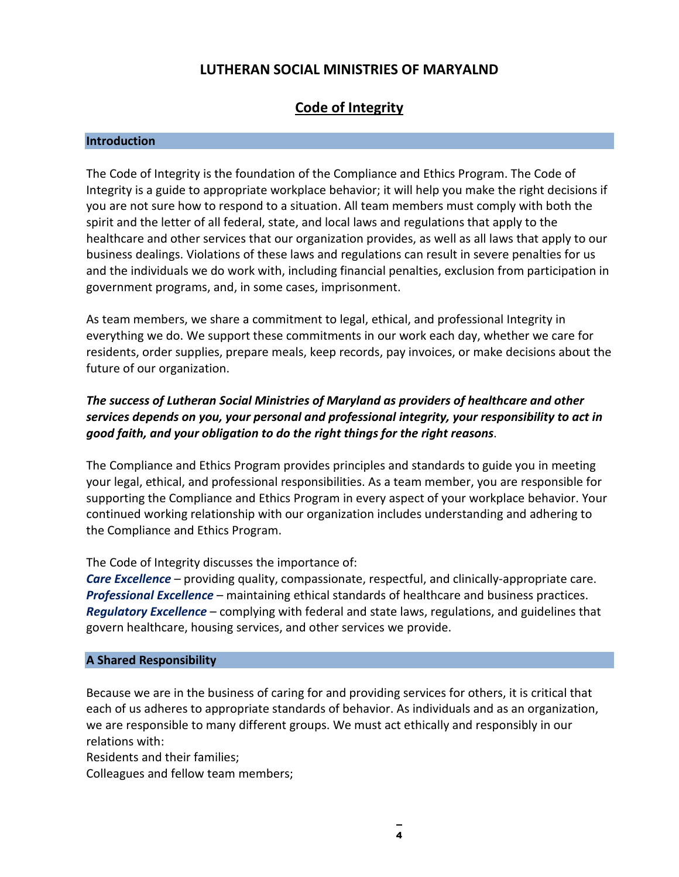# **LUTHERAN SOCIAL MINISTRIES OF MARYALND**

# **Code of Integrity**

### <span id="page-6-0"></span>**Introduction**

The Code of Integrity is the foundation of the Compliance and Ethics Program. The Code of Integrity is a guide to appropriate workplace behavior; it will help you make the right decisions if you are not sure how to respond to a situation. All team members must comply with both the spirit and the letter of all federal, state, and local laws and regulations that apply to the healthcare and other services that our organization provides, as well as all laws that apply to our business dealings. Violations of these laws and regulations can result in severe penalties for us and the individuals we do work with, including financial penalties, exclusion from participation in government programs, and, in some cases, imprisonment.

As team members, we share a commitment to legal, ethical, and professional Integrity in everything we do. We support these commitments in our work each day, whether we care for residents, order supplies, prepare meals, keep records, pay invoices, or make decisions about the future of our organization.

### *The success of Lutheran Social Ministries of Maryland as providers of healthcare and other services depends on you, your personal and professional integrity, your responsibility to act in good faith, and your obligation to do the right things for the right reasons*.

The Compliance and Ethics Program provides principles and standards to guide you in meeting your legal, ethical, and professional responsibilities. As a team member, you are responsible for supporting the Compliance and Ethics Program in every aspect of your workplace behavior. Your continued working relationship with our organization includes understanding and adhering to the Compliance and Ethics Program.

The Code of Integrity discusses the importance of:

*Care Excellence* – providing quality, compassionate, respectful, and clinically-appropriate care. *Professional Excellence* – maintaining ethical standards of healthcare and business practices. *Regulatory Excellence* – complying with federal and state laws, regulations, and guidelines that govern healthcare, housing services, and other services we provide.

### <span id="page-6-1"></span>**A Shared Responsibility**

Because we are in the business of caring for and providing services for others, it is critical that each of us adheres to appropriate standards of behavior. As individuals and as an organization, we are responsible to many different groups. We must act ethically and responsibly in our relations with:

Residents and their families;

Colleagues and fellow team members;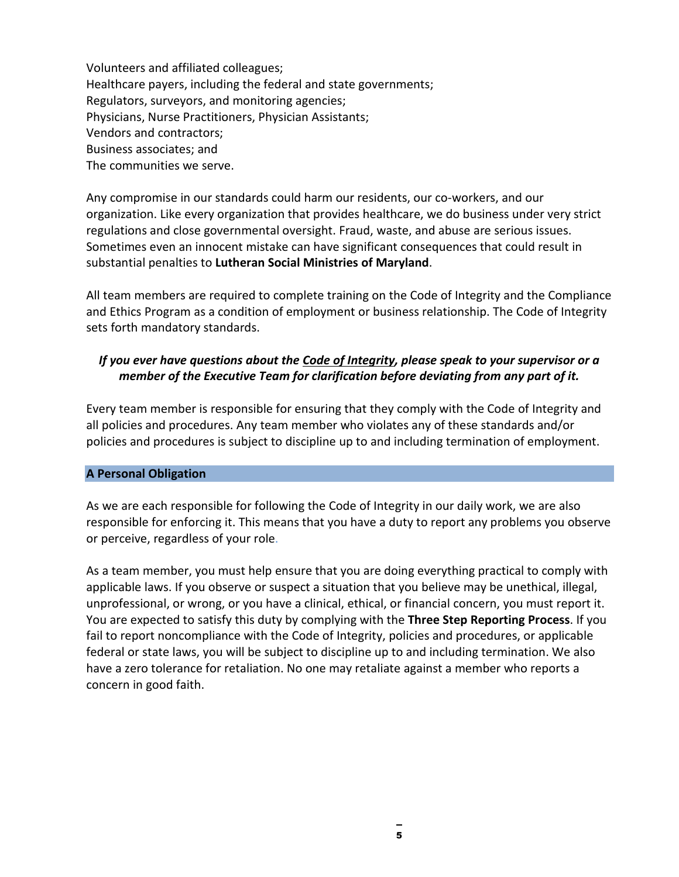Volunteers and affiliated colleagues; Healthcare payers, including the federal and state governments; Regulators, surveyors, and monitoring agencies; Physicians, Nurse Practitioners, Physician Assistants; Vendors and contractors; Business associates; and The communities we serve.

Any compromise in our standards could harm our residents, our co-workers, and our organization. Like every organization that provides healthcare, we do business under very strict regulations and close governmental oversight. Fraud, waste, and abuse are serious issues. Sometimes even an innocent mistake can have significant consequences that could result in substantial penalties to **Lutheran Social Ministries of Maryland**.

All team members are required to complete training on the Code of Integrity and the Compliance and Ethics Program as a condition of employment or business relationship. The Code of Integrity sets forth mandatory standards.

### *If you ever have questions about the Code of Integrity, please speak to your supervisor or a member of the Executive Team for clarification before deviating from any part of it.*

Every team member is responsible for ensuring that they comply with the Code of Integrity and all policies and procedures. Any team member who violates any of these standards and/or policies and procedures is subject to discipline up to and including termination of employment.

### <span id="page-7-0"></span>**A Personal Obligation**

As we are each responsible for following the Code of Integrity in our daily work, we are also responsible for enforcing it. This means that you have a duty to report any problems you observe or perceive, regardless of your role.

As a team member, you must help ensure that you are doing everything practical to comply with applicable laws. If you observe or suspect a situation that you believe may be unethical, illegal, unprofessional, or wrong, or you have a clinical, ethical, or financial concern, you must report it. You are expected to satisfy this duty by complying with the **Three Step Reporting Process**. If you fail to report noncompliance with the Code of Integrity, policies and procedures, or applicable federal or state laws, you will be subject to discipline up to and including termination. We also have a zero tolerance for retaliation. No one may retaliate against a member who reports a concern in good faith.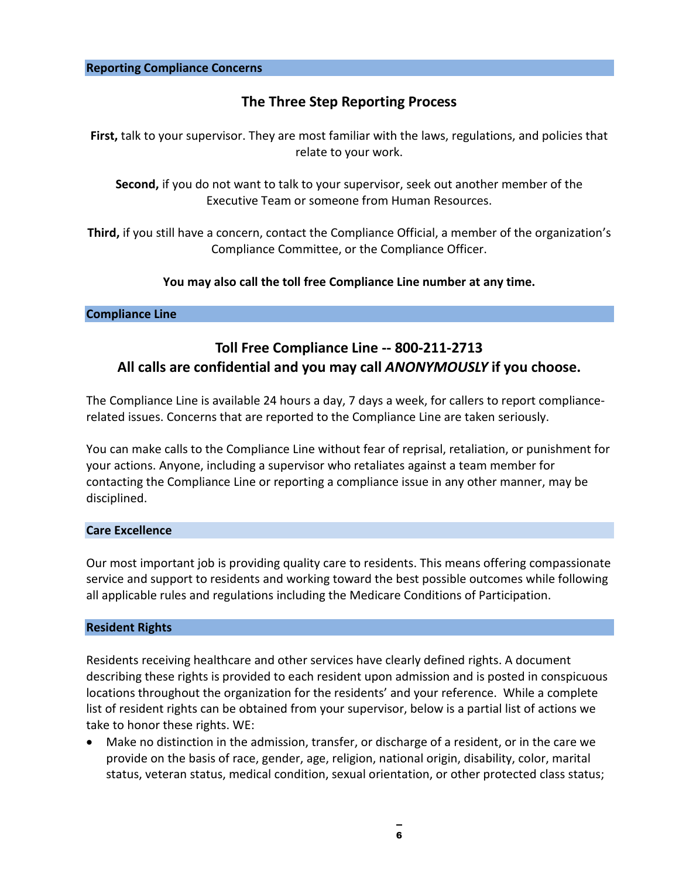# **The Three Step Reporting Process**

<span id="page-8-0"></span>**First,** talk to your supervisor. They are most familiar with the laws, regulations, and policies that relate to your work.

**Second,** if you do not want to talk to your supervisor, seek out another member of the Executive Team or someone from Human Resources.

**Third,** if you still have a concern, contact the Compliance Official, a member of the organization's Compliance Committee, or the Compliance Officer.

### **You may also call the toll free Compliance Line number at any time.**

### <span id="page-8-1"></span>**Compliance Line**

# **Toll Free Compliance Line -- 800-211-2713 All calls are confidential and you may call** *ANONYMOUSLY* **if you choose.**

The Compliance Line is available 24 hours a day, 7 days a week, for callers to report compliancerelated issues. Concerns that are reported to the Compliance Line are taken seriously.

You can make calls to the Compliance Line without fear of reprisal, retaliation, or punishment for your actions. Anyone, including a supervisor who retaliates against a team member for contacting the Compliance Line or reporting a compliance issue in any other manner, may be disciplined.

### <span id="page-8-2"></span>**Care Excellence**

Our most important job is providing quality care to residents. This means offering compassionate service and support to residents and working toward the best possible outcomes while following all applicable rules and regulations including the Medicare Conditions of Participation.

### <span id="page-8-3"></span>**Resident Rights**

Residents receiving healthcare and other services have clearly defined rights. A document describing these rights is provided to each resident upon admission and is posted in conspicuous locations throughout the organization for the residents' and your reference. While a complete list of resident rights can be obtained from your supervisor, below is a partial list of actions we take to honor these rights. WE:

• Make no distinction in the admission, transfer, or discharge of a resident, or in the care we provide on the basis of race, gender, age, religion, national origin, disability, color, marital status, veteran status, medical condition, sexual orientation, or other protected class status;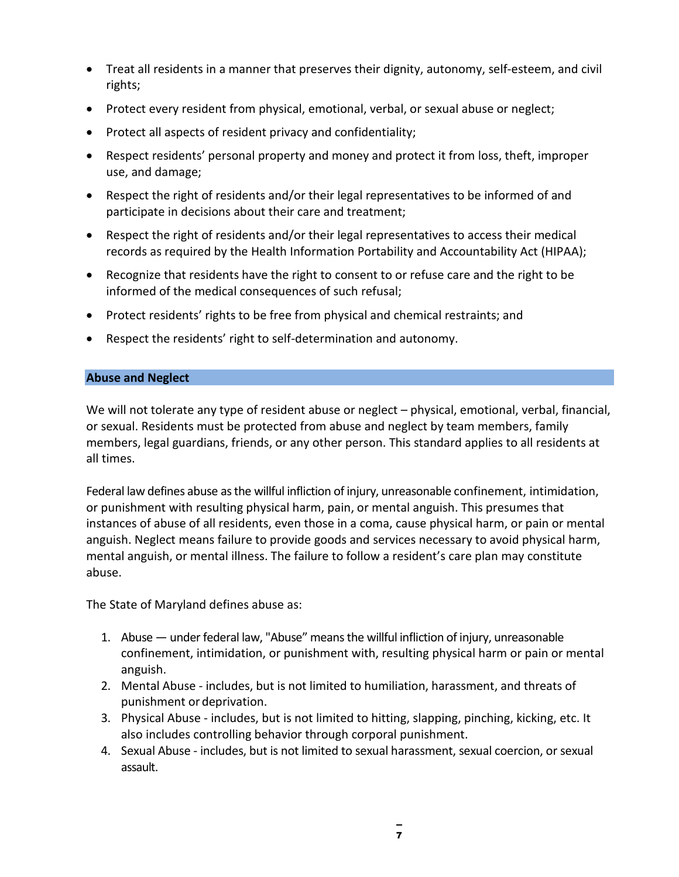- Treat all residents in a manner that preserves their dignity, autonomy, self-esteem, and civil rights;
- Protect every resident from physical, emotional, verbal, or sexual abuse or neglect;
- Protect all aspects of resident privacy and confidentiality;
- Respect residents' personal property and money and protect it from loss, theft, improper use, and damage;
- Respect the right of residents and/or their legal representatives to be informed of and participate in decisions about their care and treatment;
- Respect the right of residents and/or their legal representatives to access their medical records as required by the Health Information Portability and Accountability Act (HIPAA);
- Recognize that residents have the right to consent to or refuse care and the right to be informed of the medical consequences of such refusal;
- Protect residents' rights to be free from physical and chemical restraints; and
- Respect the residents' right to self-determination and autonomy.

### <span id="page-9-0"></span>**Abuse and Neglect**

We will not tolerate any type of resident abuse or neglect – physical, emotional, verbal, financial, or sexual. Residents must be protected from abuse and neglect by team members, family members, legal guardians, friends, or any other person. This standard applies to all residents at all times.

Federal law defines abuse as the willful infliction of injury, unreasonable confinement, intimidation, or punishment with resulting physical harm, pain, or mental anguish. This presumes that instances of abuse of all residents, even those in a coma, cause physical harm, or pain or mental anguish. Neglect means failure to provide goods and services necessary to avoid physical harm, mental anguish, or mental illness. The failure to follow a resident's care plan may constitute abuse.

The State of Maryland defines abuse as:

- 1. Abuse under federal law, "Abuse" means the willful infliction of injury, unreasonable confinement, intimidation, or punishment with, resulting physical harm or pain or mental anguish.
- 2. Mental Abuse includes, but is not limited to humiliation, harassment, and threats of punishment ordeprivation.
- 3. Physical Abuse includes, but is not limited to hitting, slapping, pinching, kicking, etc. It also includes controlling behavior through corporal punishment.
- 4. Sexual Abuse includes, but is not limited to sexual harassment, sexual coercion, or sexual assault.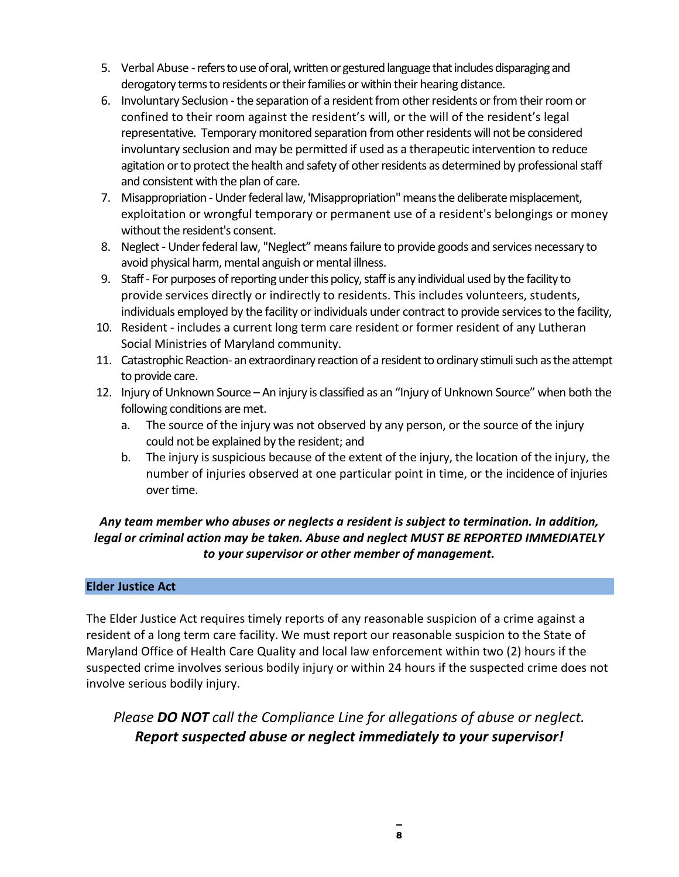- 5. Verbal Abuse -refers to use of oral, written or gestured language that includes disparaging and derogatory terms to residents or their families or within their hearing distance.
- 6. Involuntary Seclusion -the separation of a resident from other residents or from their room or confined to their room against the resident's will, or the will of the resident's legal representative. Temporary monitored separation from other residents will not be considered involuntary seclusion and may be permitted if used as a therapeutic intervention to reduce agitation or to protect the health and safety of other residents as determined by professional staff and consistent with the plan of care.
- 7. Misappropriation Under federal law, 'Misappropriation'' means the deliberate misplacement, exploitation or wrongful temporary or permanent use of a resident's belongings or money without the resident's consent.
- 8. Neglect Under federal law, "Neglect" means failure to provide goods and services necessary to avoid physical harm, mental anguish or mental illness.
- 9. Staff For purposes of reporting under this policy, staff is any individual used by the facility to provide services directly or indirectly to residents. This includes volunteers, students, individuals employed by the facility or individuals under contract to provide services to the facility,
- 10. Resident includes a current long term care resident or former resident of any Lutheran Social Ministries of Maryland community.
- 11. Catastrophic Reaction- an extraordinary reaction of a resident to ordinary stimuli such as the attempt to provide care.
- 12. Injury of Unknown Source An injury is classified as an "Injury of Unknown Source" when both the following conditions are met.
	- a. The source of the injury was not observed by any person, or the source of the injury could not be explained by the resident; and
	- b. The injury is suspicious because of the extent of the injury, the location of the injury, the number of injuries observed at one particular point in time, or the incidence of injuries over time.

## *Any team member who abuses or neglects a resident is subject to termination. In addition, legal or criminal action may be taken. Abuse and neglect MUST BE REPORTED IMMEDIATELY to your supervisor or other member of management.*

### <span id="page-10-0"></span>**Elder Justice Act**

The Elder Justice Act requires timely reports of any reasonable suspicion of a crime against a resident of a long term care facility. We must report our reasonable suspicion to the State of Maryland Office of Health Care Quality and local law enforcement within two (2) hours if the suspected crime involves serious bodily injury or within 24 hours if the suspected crime does not involve serious bodily injury.

*Please DO NOT call the Compliance Line for allegations of abuse or neglect. Report suspected abuse or neglect immediately to your supervisor!*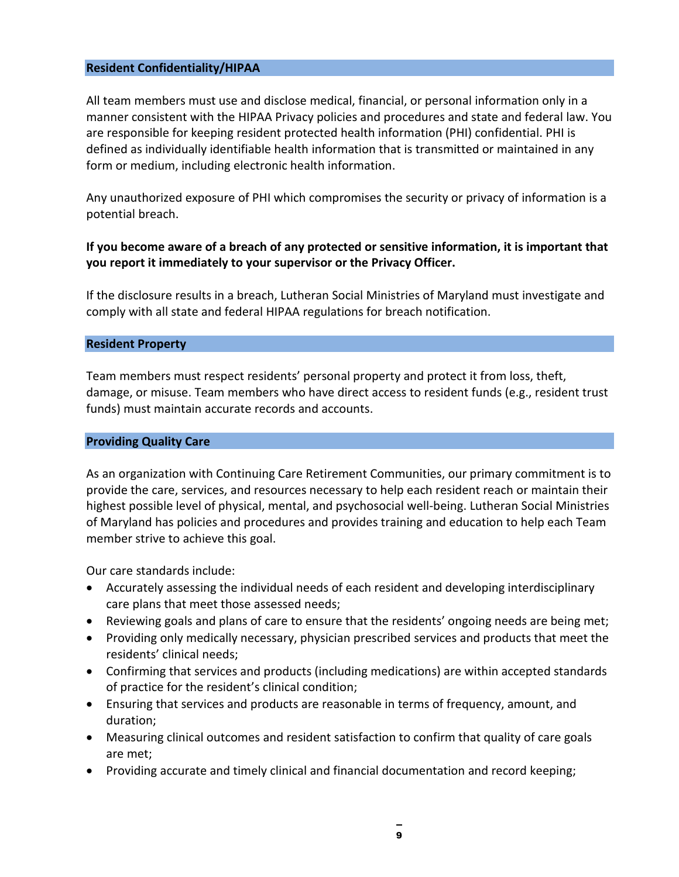### <span id="page-11-0"></span>**Resident Confidentiality/HIPAA**

All team members must use and disclose medical, financial, or personal information only in a manner consistent with the HIPAA Privacy policies and procedures and state and federal law. You are responsible for keeping resident protected health information (PHI) confidential. PHI is defined as individually identifiable health information that is transmitted or maintained in any form or medium, including electronic health information.

Any unauthorized exposure of PHI which compromises the security or privacy of information is a potential breach.

### **If you become aware of a breach of any protected or sensitive information, it is important that you report it immediately to your supervisor or the Privacy Officer.**

If the disclosure results in a breach, Lutheran Social Ministries of Maryland must investigate and comply with all state and federal HIPAA regulations for breach notification.

### <span id="page-11-1"></span>**Resident Property**

Team members must respect residents' personal property and protect it from loss, theft, damage, or misuse. Team members who have direct access to resident funds (e.g., resident trust funds) must maintain accurate records and accounts.

### <span id="page-11-2"></span>**Providing Quality Care**

As an organization with Continuing Care Retirement Communities, our primary commitment is to provide the care, services, and resources necessary to help each resident reach or maintain their highest possible level of physical, mental, and psychosocial well-being. Lutheran Social Ministries of Maryland has policies and procedures and provides training and education to help each Team member strive to achieve this goal.

Our care standards include:

- Accurately assessing the individual needs of each resident and developing interdisciplinary care plans that meet those assessed needs;
- Reviewing goals and plans of care to ensure that the residents' ongoing needs are being met;
- Providing only medically necessary, physician prescribed services and products that meet the residents' clinical needs;
- Confirming that services and products (including medications) are within accepted standards of practice for the resident's clinical condition;
- Ensuring that services and products are reasonable in terms of frequency, amount, and duration;
- Measuring clinical outcomes and resident satisfaction to confirm that quality of care goals are met;
- Providing accurate and timely clinical and financial documentation and record keeping;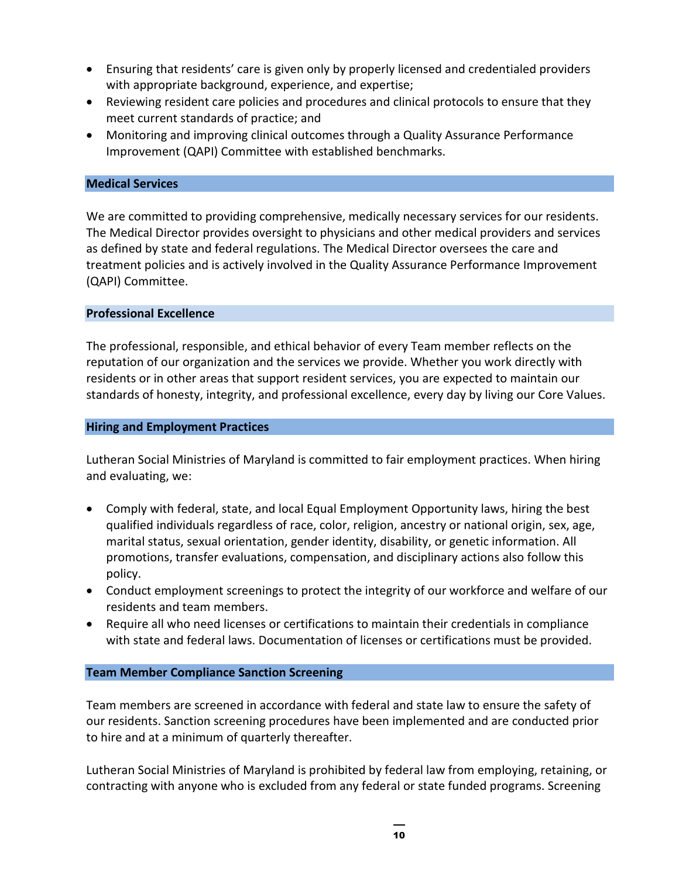- Ensuring that residents' care is given only by properly licensed and credentialed providers with appropriate background, experience, and expertise;
- Reviewing resident care policies and procedures and clinical protocols to ensure that they meet current standards of practice; and
- Monitoring and improving clinical outcomes through a Quality Assurance Performance Improvement (QAPI) Committee with established benchmarks.

### <span id="page-12-0"></span>**Medical Services**

We are committed to providing comprehensive, medically necessary services for our residents. The Medical Director provides oversight to physicians and other medical providers and services as defined by state and federal regulations. The Medical Director oversees the care and treatment policies and is actively involved in the Quality Assurance Performance Improvement (QAPI) Committee.

### <span id="page-12-1"></span>**Professional Excellence**

The professional, responsible, and ethical behavior of every Team member reflects on the reputation of our organization and the services we provide. Whether you work directly with residents or in other areas that support resident services, you are expected to maintain our standards of honesty, integrity, and professional excellence, every day by living our Core Values.

### <span id="page-12-2"></span>**Hiring and Employment Practices**

Lutheran Social Ministries of Maryland is committed to fair employment practices. When hiring and evaluating, we:

- Comply with federal, state, and local Equal Employment Opportunity laws, hiring the best qualified individuals regardless of race, color, religion, ancestry or national origin, sex, age, marital status, sexual orientation, gender identity, disability, or genetic information. All promotions, transfer evaluations, compensation, and disciplinary actions also follow this policy.
- Conduct employment screenings to protect the integrity of our workforce and welfare of our residents and team members.
- Require all who need licenses or certifications to maintain their credentials in compliance with state and federal laws. Documentation of licenses or certifications must be provided.

### <span id="page-12-3"></span>**Team Member Compliance Sanction Screening**

Team members are screened in accordance with federal and state law to ensure the safety of our residents. Sanction screening procedures have been implemented and are conducted prior to hire and at a minimum of quarterly thereafter.

Lutheran Social Ministries of Maryland is prohibited by federal law from employing, retaining, or contracting with anyone who is excluded from any federal or state funded programs. Screening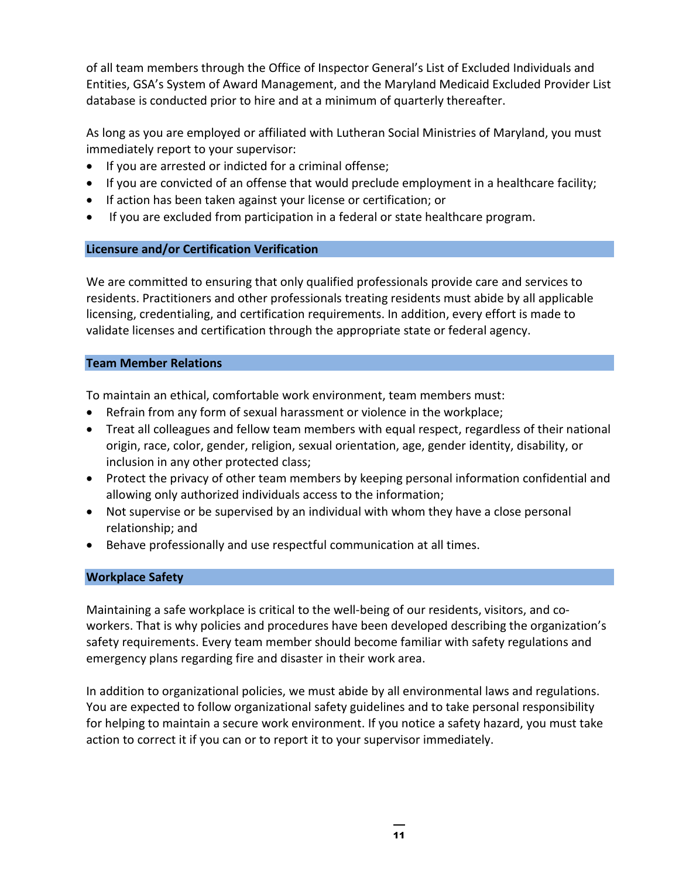of all team members through the Office of Inspector General's List of Excluded Individuals and Entities, GSA's System of Award Management, and the Maryland Medicaid Excluded Provider List database is conducted prior to hire and at a minimum of quarterly thereafter.

As long as you are employed or affiliated with Lutheran Social Ministries of Maryland, you must immediately report to your supervisor:

- If you are arrested or indicted for a criminal offense;
- If you are convicted of an offense that would preclude employment in a healthcare facility;
- If action has been taken against your license or certification; or
- If you are excluded from participation in a federal or state healthcare program.

### <span id="page-13-0"></span>**Licensure and/or Certification Verification**

We are committed to ensuring that only qualified professionals provide care and services to residents. Practitioners and other professionals treating residents must abide by all applicable licensing, credentialing, and certification requirements. In addition, every effort is made to validate licenses and certification through the appropriate state or federal agency.

### <span id="page-13-1"></span>**Team Member Relations**

To maintain an ethical, comfortable work environment, team members must:

- Refrain from any form of sexual harassment or violence in the workplace;
- Treat all colleagues and fellow team members with equal respect, regardless of their national origin, race, color, gender, religion, sexual orientation, age, gender identity, disability, or inclusion in any other protected class;
- Protect the privacy of other team members by keeping personal information confidential and allowing only authorized individuals access to the information;
- Not supervise or be supervised by an individual with whom they have a close personal relationship; and
- Behave professionally and use respectful communication at all times.

### <span id="page-13-2"></span>**Workplace Safety**

Maintaining a safe workplace is critical to the well-being of our residents, visitors, and coworkers. That is why policies and procedures have been developed describing the organization's safety requirements. Every team member should become familiar with safety regulations and emergency plans regarding fire and disaster in their work area.

In addition to organizational policies, we must abide by all environmental laws and regulations. You are expected to follow organizational safety guidelines and to take personal responsibility for helping to maintain a secure work environment. If you notice a safety hazard, you must take action to correct it if you can or to report it to your supervisor immediately.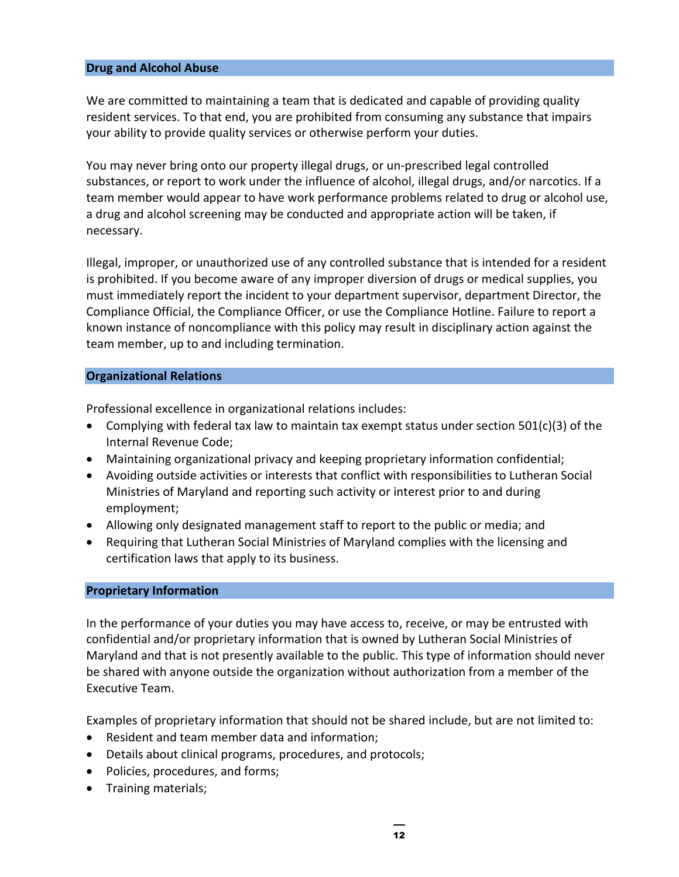### <span id="page-14-0"></span>**Drug and Alcohol Abuse**

We are committed to maintaining a team that is dedicated and capable of providing quality resident services. To that end, you are prohibited from consuming any substance that impairs your ability to provide quality services or otherwise perform your duties.

You may never bring onto our property illegal drugs, or un-prescribed legal controlled substances, or report to work under the influence of alcohol, illegal drugs, and/or narcotics. If a team member would appear to have work performance problems related to drug or alcohol use, a drug and alcohol screening may be conducted and appropriate action will be taken, if necessary.

Illegal, improper, or unauthorized use of any controlled substance that is intended for a resident is prohibited. If you become aware of any improper diversion of drugs or medical supplies, you must immediately report the incident to your department supervisor, department Director, the Compliance Official, the Compliance Officer, or use the Compliance Hotline. Failure to report a known instance of noncompliance with this policy may result in disciplinary action against the team member, up to and including termination.

### <span id="page-14-1"></span>**Organizational Relations**

Professional excellence in organizational relations includes:

- Complying with federal tax law to maintain tax exempt status under section 501(c)(3) of the Internal Revenue Code;
- Maintaining organizational privacy and keeping proprietary information confidential;
- Avoiding outside activities or interests that conflict with responsibilities to Lutheran Social Ministries of Maryland and reporting such activity or interest prior to and during employment;
- Allowing only designated management staff to report to the public or media; and
- Requiring that Lutheran Social Ministries of Maryland complies with the licensing and certification laws that apply to its business.

### <span id="page-14-2"></span>**Proprietary Information**

In the performance of your duties you may have access to, receive, or may be entrusted with confidential and/or proprietary information that is owned by Lutheran Social Ministries of Maryland and that is not presently available to the public. This type of information should never be shared with anyone outside the organization without authorization from a member of the Executive Team.

Examples of proprietary information that should not be shared include, but are not limited to:

- Resident and team member data and information;
- Details about clinical programs, procedures, and protocols;
- Policies, procedures, and forms;
- Training materials;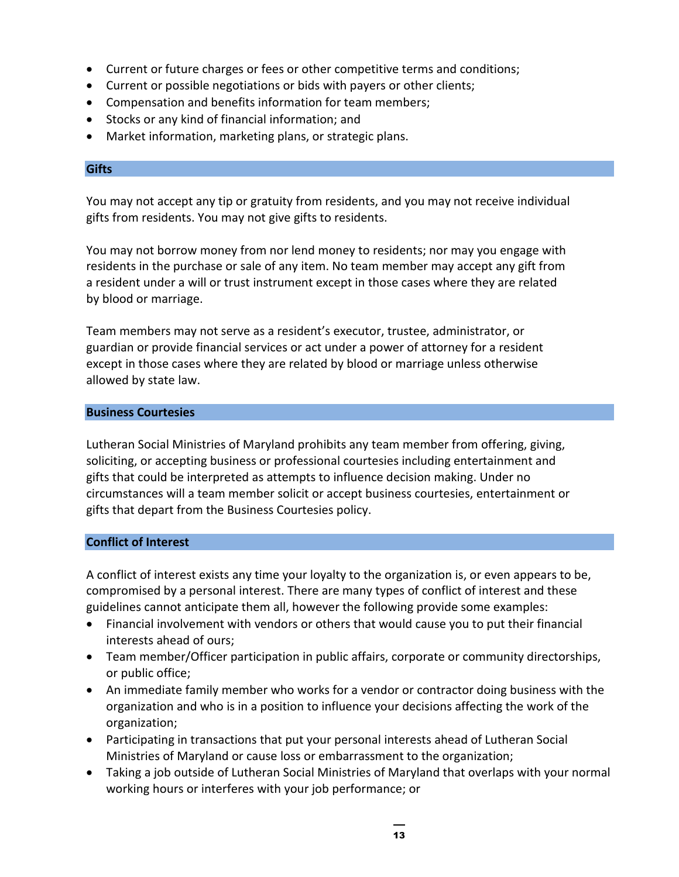- Current or future charges or fees or other competitive terms and conditions;
- Current or possible negotiations or bids with payers or other clients;
- Compensation and benefits information for team members;
- Stocks or any kind of financial information; and
- Market information, marketing plans, or strategic plans.

### <span id="page-15-0"></span>**Gifts**

You may not accept any tip or gratuity from residents, and you may not receive individual gifts from residents. You may not give gifts to residents.

You may not borrow money from nor lend money to residents; nor may you engage with residents in the purchase or sale of any item. No team member may accept any gift from a resident under a will or trust instrument except in those cases where they are related by blood or marriage.

Team members may not serve as a resident's executor, trustee, administrator, or guardian or provide financial services or act under a power of attorney for a resident except in those cases where they are related by blood or marriage unless otherwise allowed by state law.

### <span id="page-15-1"></span>**Business Courtesies**

Lutheran Social Ministries of Maryland prohibits any team member from offering, giving, soliciting, or accepting business or professional courtesies including entertainment and gifts that could be interpreted as attempts to influence decision making. Under no circumstances will a team member solicit or accept business courtesies, entertainment or gifts that depart from the Business Courtesies policy.

### <span id="page-15-2"></span>**Conflict of Interest**

A conflict of interest exists any time your loyalty to the organization is, or even appears to be, compromised by a personal interest. There are many types of conflict of interest and these guidelines cannot anticipate them all, however the following provide some examples:

- Financial involvement with vendors or others that would cause you to put their financial interests ahead of ours;
- Team member/Officer participation in public affairs, corporate or community directorships, or public office;
- An immediate family member who works for a vendor or contractor doing business with the organization and who is in a position to influence your decisions affecting the work of the organization;
- Participating in transactions that put your personal interests ahead of Lutheran Social Ministries of Maryland or cause loss or embarrassment to the organization;
- Taking a job outside of Lutheran Social Ministries of Maryland that overlaps with your normal working hours or interferes with your job performance; or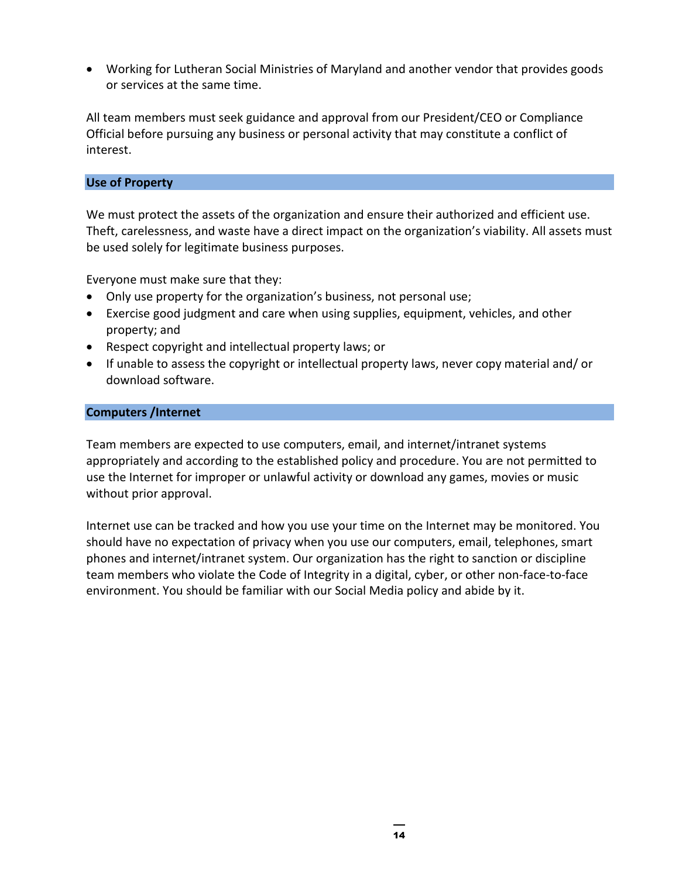• Working for Lutheran Social Ministries of Maryland and another vendor that provides goods or services at the same time.

All team members must seek guidance and approval from our President/CEO or Compliance Official before pursuing any business or personal activity that may constitute a conflict of interest.

### <span id="page-16-0"></span>**Use of Property**

We must protect the assets of the organization and ensure their authorized and efficient use. Theft, carelessness, and waste have a direct impact on the organization's viability. All assets must be used solely for legitimate business purposes.

Everyone must make sure that they:

- Only use property for the organization's business, not personal use;
- Exercise good judgment and care when using supplies, equipment, vehicles, and other property; and
- Respect copyright and intellectual property laws; or
- If unable to assess the copyright or intellectual property laws, never copy material and/ or download software.

### <span id="page-16-1"></span>**Computers /Internet**

Team members are expected to use computers, email, and internet/intranet systems appropriately and according to the established policy and procedure. You are not permitted to use the Internet for improper or unlawful activity or download any games, movies or music without prior approval.

Internet use can be tracked and how you use your time on the Internet may be monitored. You should have no expectation of privacy when you use our computers, email, telephones, smart phones and internet/intranet system. Our organization has the right to sanction or discipline team members who violate the Code of Integrity in a digital, cyber, or other non-face-to-face environment. You should be familiar with our Social Media policy and abide by it.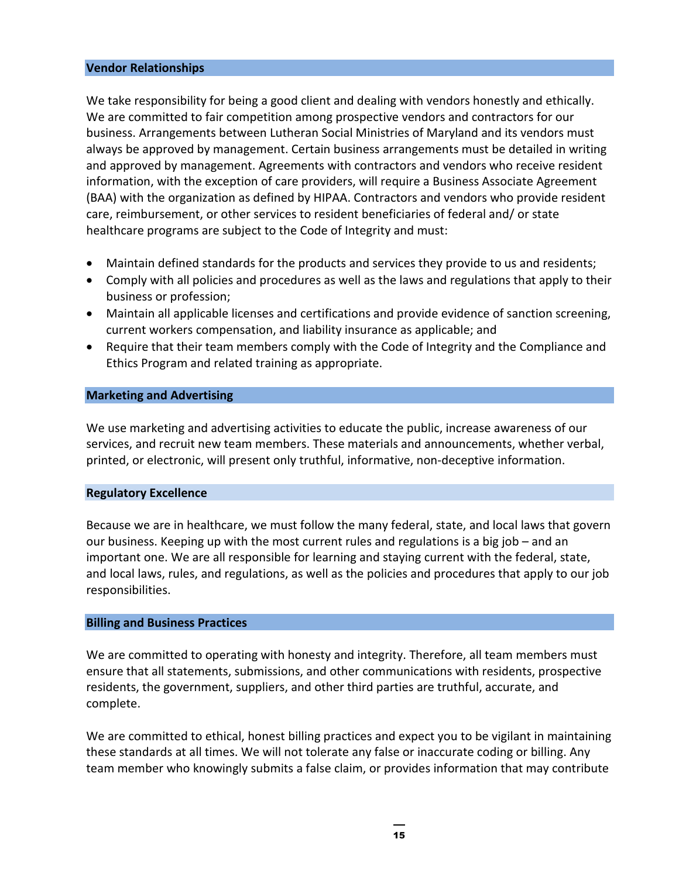### <span id="page-17-0"></span>**Vendor Relationships**

We take responsibility for being a good client and dealing with vendors honestly and ethically. We are committed to fair competition among prospective vendors and contractors for our business. Arrangements between Lutheran Social Ministries of Maryland and its vendors must always be approved by management. Certain business arrangements must be detailed in writing and approved by management. Agreements with contractors and vendors who receive resident information, with the exception of care providers, will require a Business Associate Agreement (BAA) with the organization as defined by HIPAA. Contractors and vendors who provide resident care, reimbursement, or other services to resident beneficiaries of federal and/ or state healthcare programs are subject to the Code of Integrity and must:

- Maintain defined standards for the products and services they provide to us and residents;
- Comply with all policies and procedures as well as the laws and regulations that apply to their business or profession;
- Maintain all applicable licenses and certifications and provide evidence of sanction screening, current workers compensation, and liability insurance as applicable; and
- Require that their team members comply with the Code of Integrity and the Compliance and Ethics Program and related training as appropriate.

### <span id="page-17-1"></span>**Marketing and Advertising**

We use marketing and advertising activities to educate the public, increase awareness of our services, and recruit new team members. These materials and announcements, whether verbal, printed, or electronic, will present only truthful, informative, non-deceptive information.

### <span id="page-17-2"></span>**Regulatory Excellence**

Because we are in healthcare, we must follow the many federal, state, and local laws that govern our business. Keeping up with the most current rules and regulations is a big job – and an important one. We are all responsible for learning and staying current with the federal, state, and local laws, rules, and regulations, as well as the policies and procedures that apply to our job responsibilities.

### <span id="page-17-3"></span>**Billing and Business Practices**

We are committed to operating with honesty and integrity. Therefore, all team members must ensure that all statements, submissions, and other communications with residents, prospective residents, the government, suppliers, and other third parties are truthful, accurate, and complete.

We are committed to ethical, honest billing practices and expect you to be vigilant in maintaining these standards at all times. We will not tolerate any false or inaccurate coding or billing. Any team member who knowingly submits a false claim, or provides information that may contribute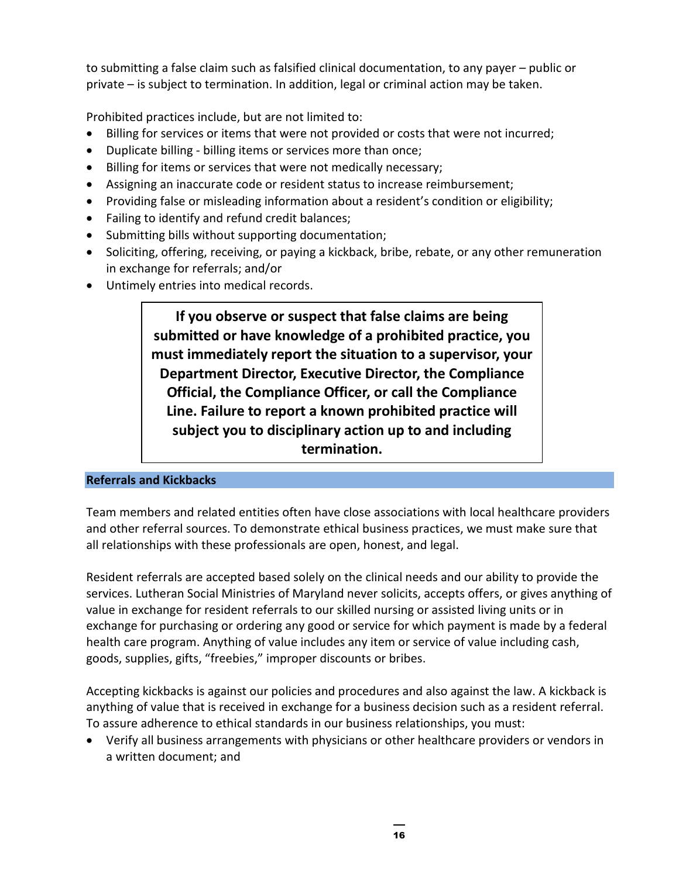to submitting a false claim such as falsified clinical documentation, to any payer – public or private – is subject to termination. In addition, legal or criminal action may be taken.

Prohibited practices include, but are not limited to:

- Billing for services or items that were not provided or costs that were not incurred;
- Duplicate billing billing items or services more than once;
- Billing for items or services that were not medically necessary;
- Assigning an inaccurate code or resident status to increase reimbursement;
- Providing false or misleading information about a resident's condition or eligibility;
- Failing to identify and refund credit balances;
- Submitting bills without supporting documentation;
- Soliciting, offering, receiving, or paying a kickback, bribe, rebate, or any other remuneration in exchange for referrals; and/or
- Untimely entries into medical records.

**If you observe or suspect that false claims are being submitted or have knowledge of a prohibited practice, you must immediately report the situation to a supervisor, your Department Director, Executive Director, the Compliance Official, the Compliance Officer, or call the Compliance Line. Failure to report a known prohibited practice will subject you to disciplinary action up to and including termination.**

### <span id="page-18-0"></span>**Referrals and Kickbacks**

Team members and related entities often have close associations with local healthcare providers and other referral sources. To demonstrate ethical business practices, we must make sure that all relationships with these professionals are open, honest, and legal.

Resident referrals are accepted based solely on the clinical needs and our ability to provide the services. Lutheran Social Ministries of Maryland never solicits, accepts offers, or gives anything of value in exchange for resident referrals to our skilled nursing or assisted living units or in exchange for purchasing or ordering any good or service for which payment is made by a federal health care program. Anything of value includes any item or service of value including cash, goods, supplies, gifts, "freebies," improper discounts or bribes.

Accepting kickbacks is against our policies and procedures and also against the law. A kickback is anything of value that is received in exchange for a business decision such as a resident referral. To assure adherence to ethical standards in our business relationships, you must:

• Verify all business arrangements with physicians or other healthcare providers or vendors in a written document; and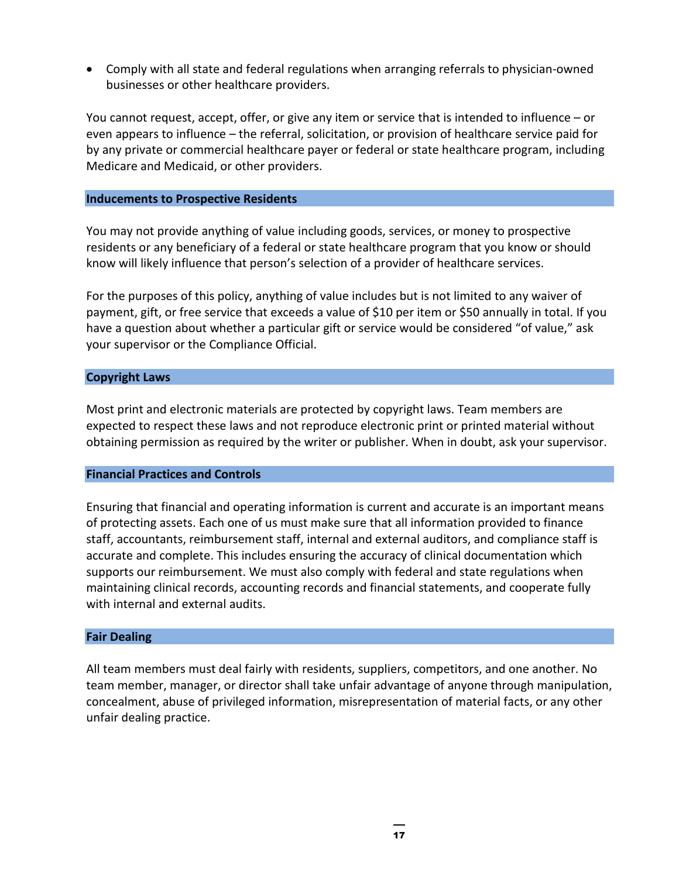• Comply with all state and federal regulations when arranging referrals to physician-owned businesses or other healthcare providers.

You cannot request, accept, offer, or give any item or service that is intended to influence – or even appears to influence – the referral, solicitation, or provision of healthcare service paid for by any private or commercial healthcare payer or federal or state healthcare program, including Medicare and Medicaid, or other providers.

### <span id="page-19-0"></span>**Inducements to Prospective Residents**

You may not provide anything of value including goods, services, or money to prospective residents or any beneficiary of a federal or state healthcare program that you know or should know will likely influence that person's selection of a provider of healthcare services.

For the purposes of this policy, anything of value includes but is not limited to any waiver of payment, gift, or free service that exceeds a value of \$10 per item or \$50 annually in total. If you have a question about whether a particular gift or service would be considered "of value," ask your supervisor or the Compliance Official.

### <span id="page-19-1"></span>**Copyright Laws**

Most print and electronic materials are protected by copyright laws. Team members are expected to respect these laws and not reproduce electronic print or printed material without obtaining permission as required by the writer or publisher. When in doubt, ask your supervisor.

### <span id="page-19-2"></span>**Financial Practices and Controls**

Ensuring that financial and operating information is current and accurate is an important means of protecting assets. Each one of us must make sure that all information provided to finance staff, accountants, reimbursement staff, internal and external auditors, and compliance staff is accurate and complete. This includes ensuring the accuracy of clinical documentation which supports our reimbursement. We must also comply with federal and state regulations when maintaining clinical records, accounting records and financial statements, and cooperate fully with internal and external audits.

### <span id="page-19-3"></span>**Fair Dealing**

All team members must deal fairly with residents, suppliers, competitors, and one another. No team member, manager, or director shall take unfair advantage of anyone through manipulation, concealment, abuse of privileged information, misrepresentation of material facts, or any other unfair dealing practice.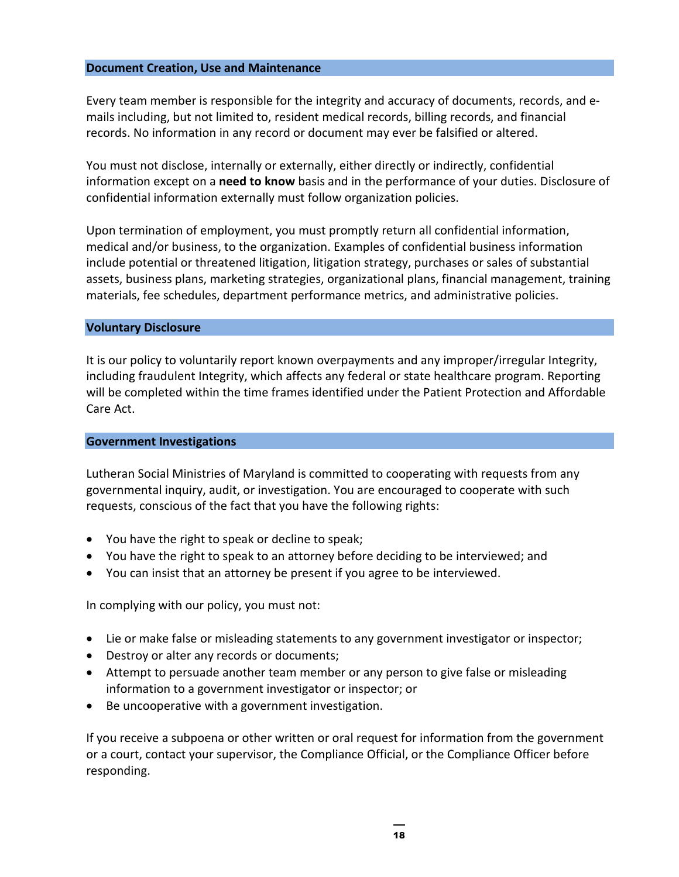### <span id="page-20-0"></span>**Document Creation, Use and Maintenance**

Every team member is responsible for the integrity and accuracy of documents, records, and emails including, but not limited to, resident medical records, billing records, and financial records. No information in any record or document may ever be falsified or altered.

You must not disclose, internally or externally, either directly or indirectly, confidential information except on a **need to know** basis and in the performance of your duties. Disclosure of confidential information externally must follow organization policies.

Upon termination of employment, you must promptly return all confidential information, medical and/or business, to the organization. Examples of confidential business information include potential or threatened litigation, litigation strategy, purchases or sales of substantial assets, business plans, marketing strategies, organizational plans, financial management, training materials, fee schedules, department performance metrics, and administrative policies.

### <span id="page-20-1"></span>**Voluntary Disclosure**

It is our policy to voluntarily report known overpayments and any improper/irregular Integrity, including fraudulent Integrity, which affects any federal or state healthcare program. Reporting will be completed within the time frames identified under the Patient Protection and Affordable Care Act.

### <span id="page-20-2"></span>**Government Investigations**

Lutheran Social Ministries of Maryland is committed to cooperating with requests from any governmental inquiry, audit, or investigation. You are encouraged to cooperate with such requests, conscious of the fact that you have the following rights:

- You have the right to speak or decline to speak;
- You have the right to speak to an attorney before deciding to be interviewed; and
- You can insist that an attorney be present if you agree to be interviewed.

In complying with our policy, you must not:

- Lie or make false or misleading statements to any government investigator or inspector;
- Destroy or alter any records or documents;
- Attempt to persuade another team member or any person to give false or misleading information to a government investigator or inspector; or
- Be uncooperative with a government investigation.

If you receive a subpoena or other written or oral request for information from the government or a court, contact your supervisor, the Compliance Official, or the Compliance Officer before responding.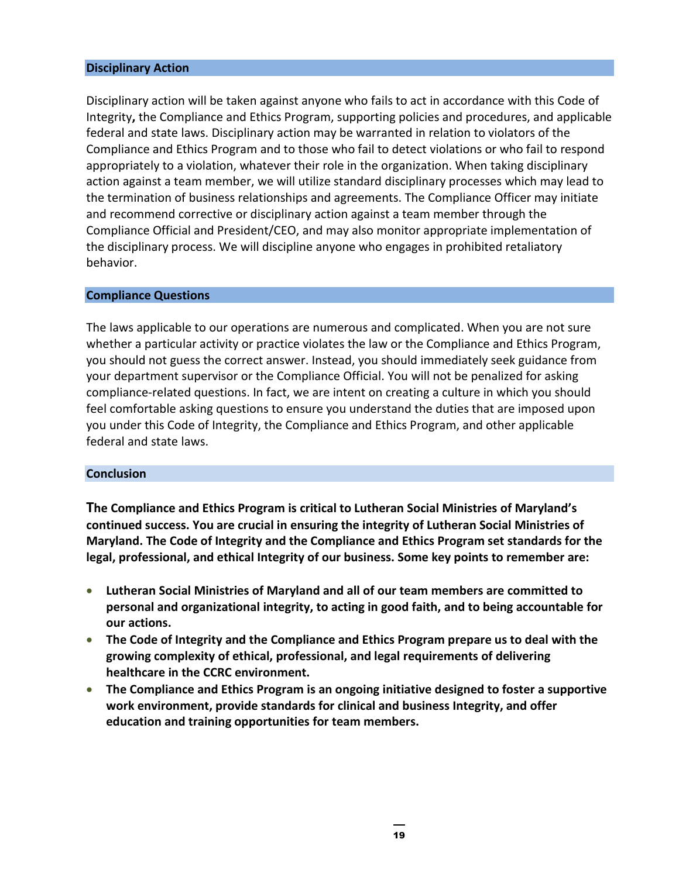### <span id="page-21-0"></span>**Disciplinary Action**

Disciplinary action will be taken against anyone who fails to act in accordance with this Code of Integrity**,** the Compliance and Ethics Program, supporting policies and procedures, and applicable federal and state laws. Disciplinary action may be warranted in relation to violators of the Compliance and Ethics Program and to those who fail to detect violations or who fail to respond appropriately to a violation, whatever their role in the organization. When taking disciplinary action against a team member, we will utilize standard disciplinary processes which may lead to the termination of business relationships and agreements. The Compliance Officer may initiate and recommend corrective or disciplinary action against a team member through the Compliance Official and President/CEO, and may also monitor appropriate implementation of the disciplinary process. We will discipline anyone who engages in prohibited retaliatory behavior.

### <span id="page-21-1"></span>**Compliance Questions**

The laws applicable to our operations are numerous and complicated. When you are not sure whether a particular activity or practice violates the law or the Compliance and Ethics Program, you should not guess the correct answer. Instead, you should immediately seek guidance from your department supervisor or the Compliance Official. You will not be penalized for asking compliance-related questions. In fact, we are intent on creating a culture in which you should feel comfortable asking questions to ensure you understand the duties that are imposed upon you under this Code of Integrity, the Compliance and Ethics Program, and other applicable federal and state laws.

### <span id="page-21-2"></span>**Conclusion**

**The Compliance and Ethics Program is critical to Lutheran Social Ministries of Maryland's continued success. You are crucial in ensuring the integrity of Lutheran Social Ministries of Maryland. The Code of Integrity and the Compliance and Ethics Program set standards for the legal, professional, and ethical Integrity of our business. Some key points to remember are:** 

- **Lutheran Social Ministries of Maryland and all of our team members are committed to personal and organizational integrity, to acting in good faith, and to being accountable for our actions.**
- **The Code of Integrity and the Compliance and Ethics Program prepare us to deal with the growing complexity of ethical, professional, and legal requirements of delivering healthcare in the CCRC environment.**
- **The Compliance and Ethics Program is an ongoing initiative designed to foster a supportive work environment, provide standards for clinical and business Integrity, and offer education and training opportunities for team members.**